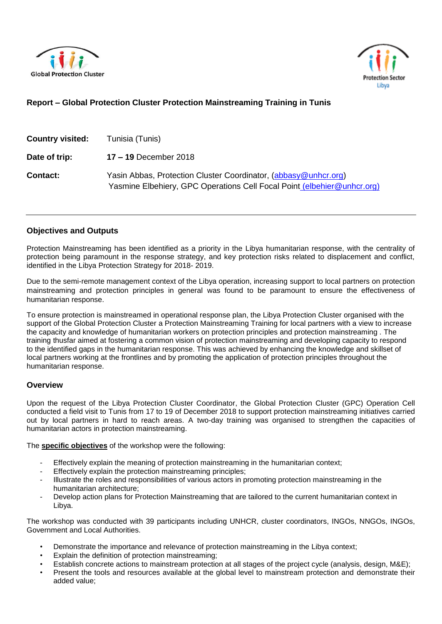



### **Report – Global Protection Cluster Protection Mainstreaming Training in Tunis**

| <b>Country visited:</b> | Tunisia (Tunis)                                                                                                                            |
|-------------------------|--------------------------------------------------------------------------------------------------------------------------------------------|
| Date of trip:           | 17 - 19 December 2018                                                                                                                      |
| <b>Contact:</b>         | Yasin Abbas, Protection Cluster Coordinator, (abbasy@unhcr.org)<br>Yasmine Elbehiery, GPC Operations Cell Focal Point (elbehier@unhcr.org) |

#### **Objectives and Outputs**

Protection Mainstreaming has been identified as a priority in the Libya humanitarian response, with the centrality of protection being paramount in the response strategy, and key protection risks related to displacement and conflict, identified in the Libya Protection Strategy for 2018- 2019.

Due to the semi-remote management context of the Libya operation, increasing support to local partners on protection mainstreaming and protection principles in general was found to be paramount to ensure the effectiveness of humanitarian response.

To ensure protection is mainstreamed in operational response plan, the Libya Protection Cluster organised with the support of the Global Protection Cluster a Protection Mainstreaming Training for local partners with a view to increase the capacity and knowledge of humanitarian workers on protection principles and protection mainstreaming . The training thusfar aimed at fostering a common vision of protection mainstreaming and developing capacity to respond to the identified gaps in the humanitarian response. This was achieved by enhancing the knowledge and skillset of local partners working at the frontlines and by promoting the application of protection principles throughout the humanitarian response.

### **Overview**

Upon the request of the Libya Protection Cluster Coordinator, the Global Protection Cluster (GPC) Operation Cell conducted a field visit to Tunis from 17 to 19 of December 2018 to support protection mainstreaming initiatives carried out by local partners in hard to reach areas. A two-day training was organised to strengthen the capacities of humanitarian actors in protection mainstreaming.

The **specific objectives** of the workshop were the following:

- Effectively explain the meaning of protection mainstreaming in the humanitarian context;
- Effectively explain the protection mainstreaming principles;
- Illustrate the roles and responsibilities of various actors in promoting protection mainstreaming in the humanitarian architecture;
- Develop action plans for Protection Mainstreaming that are tailored to the current humanitarian context in Libya.

The workshop was conducted with 39 participants including UNHCR, cluster coordinators, INGOs, NNGOs, INGOs, Government and Local Authorities.

- Demonstrate the importance and relevance of protection mainstreaming in the Libya context;
- Explain the definition of protection mainstreaming;
- Establish concrete actions to mainstream protection at all stages of the project cycle (analysis, design, M&E);
- Present the tools and resources available at the global level to mainstream protection and demonstrate their added value;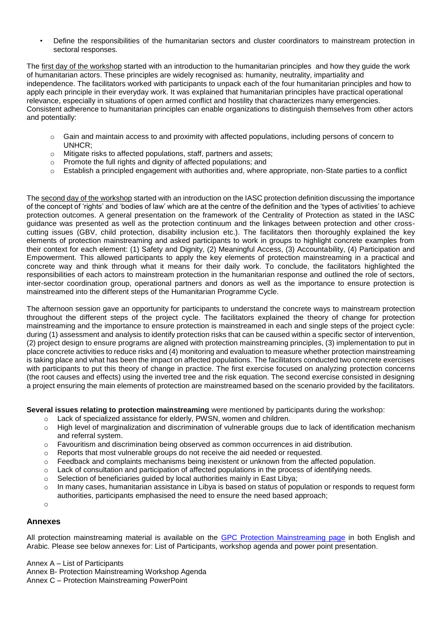• Define the responsibilities of the humanitarian sectors and cluster coordinators to mainstream protection in sectoral responses.

The first day of the workshop started with an introduction to the humanitarian principles and how they guide the work of humanitarian actors. These principles are widely recognised as: humanity, neutrality, impartiality and independence. The facilitators worked with participants to unpack each of the four humanitarian principles and how to apply each principle in their everyday work. It was explained that humanitarian principles have practical operational relevance, especially in situations of open armed conflict and hostility that characterizes many emergencies. Consistent adherence to humanitarian principles can enable organizations to distinguish themselves from other actors and potentially:

- $\circ$  Gain and maintain access to and proximity with affected populations, including persons of concern to UNHCR;
- o Mitigate risks to affected populations, staff, partners and assets;
- $\circ$  Promote the full rights and dignity of affected populations; and
- $\circ$  Establish a principled engagement with authorities and, where appropriate, non-State parties to a conflict

The second day of the workshop started with an introduction on the IASC protection definition discussing the importance of the concept of 'rights' and 'bodies of law' which are at the centre of the definition and the 'types of activities' to achieve protection outcomes. A general presentation on the framework of the Centrality of Protection as stated in the IASC guidance was presented as well as the protection continuum and the linkages between protection and other crosscutting issues (GBV, child protection, disability inclusion etc.). The facilitators then thoroughly explained the key elements of protection mainstreaming and asked participants to work in groups to highlight concrete examples from their context for each element: (1) Safety and Dignity, (2) Meaningful Access, (3) Accountability, (4) Participation and Empowerment. This allowed participants to apply the key elements of protection mainstreaming in a practical and concrete way and think through what it means for their daily work. To conclude, the facilitators highlighted the responsibilities of each actors to mainstream protection in the humanitarian response and outlined the role of sectors, inter-sector coordination group, operational partners and donors as well as the importance to ensure protection is mainstreamed into the different steps of the Humanitarian Programme Cycle.

The afternoon session gave an opportunity for participants to understand the concrete ways to mainstream protection throughout the different steps of the project cycle. The facilitators explained the theory of change for protection mainstreaming and the importance to ensure protection is mainstreamed in each and single steps of the project cycle: during (1) assessment and analysis to identify protection risks that can be caused within a specific sector of intervention, (2) project design to ensure programs are aligned with protection mainstreaming principles, (3) implementation to put in place concrete activities to reduce risks and (4) monitoring and evaluation to measure whether protection mainstreaming is taking place and what has been the impact on affected populations. The facilitators conducted two concrete exercises with participants to put this theory of change in practice. The first exercise focused on analyzing protection concerns (the root causes and effects) using the inverted tree and the risk equation. The second exercise consisted in designing a project ensuring the main elements of protection are mainstreamed based on the scenario provided by the facilitators.

**Several issues relating to protection mainstreaming** were mentioned by participants during the workshop:

- o Lack of specialized assistance for elderly, PWSN, women and children.
- o High level of marginalization and discrimination of vulnerable groups due to lack of identification mechanism and referral system.
- $\circ$  Favouritism and discrimination being observed as common occurrences in aid distribution.
- o Reports that most vulnerable groups do not receive the aid needed or requested.
- $\circ$  Feedback and complaints mechanisms being inexistent or unknown from the affected population.
- $\circ$  Lack of consultation and participation of affected populations in the process of identifying needs.
- $\circ$  Selection of beneficiaries guided by local authorities mainly in East Libya;
- $\circ$  In many cases, humanitarian assistance in Libya is based on status of population or responds to request form authorities, participants emphasised the need to ensure the need based approach;

o

#### **Annexes**

All protection mainstreaming material is available on the [GPC Protection Mainstreaming page](http://www.globalprotectioncluster.org/themes/protection-mainstreaming/) in both English and Arabic. Please see below annexes for: List of Participants, workshop agenda and power point presentation.

Annex A – List of Participants Annex B- Protection Mainstreaming Workshop Agenda Annex C – Protection Mainstreaming PowerPoint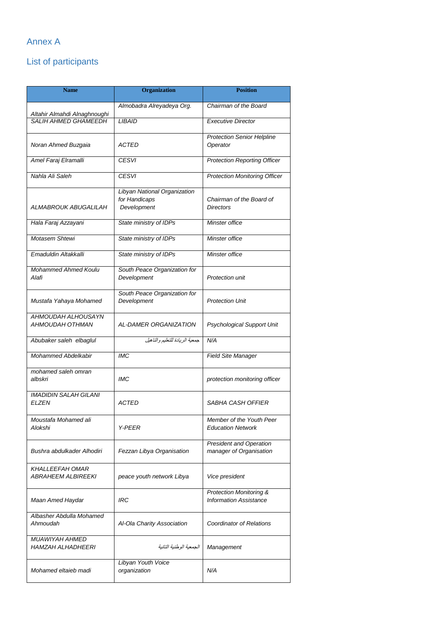## Annex A

# List of participants

| <b>Name</b>                  | Organization                                | <b>Position</b>                      |
|------------------------------|---------------------------------------------|--------------------------------------|
|                              | Almobadra Alreyadeya Org.                   | Chairman of the Board                |
| Altahir Almahdi Alnaghnoughi |                                             |                                      |
| <b>SALIH AHMED GHAMEEDH</b>  | <b>LIBAID</b>                               | <b>Executive Director</b>            |
|                              |                                             | <b>Protection Senior Helpline</b>    |
| Noran Ahmed Buzgaia          | ACTED                                       | Operator                             |
| Amel Faraj Elramalli         | <b>CESVI</b>                                | <b>Protection Reporting Officer</b>  |
| Nahla Ali Saleh              | <b>CESVI</b>                                | <b>Protection Monitoring Officer</b> |
|                              | Libyan National Organization                |                                      |
|                              | for Handicaps                               | Chairman of the Board of             |
| ALMABROUK ABUGALILAH         | Development                                 | <b>Directors</b>                     |
| Hala Faraj Azzayani          | State ministry of IDPs                      | Minster office                       |
| Motasem Shtewi               | State ministry of IDPs                      | Minster office                       |
| Emaduldin Altakkalli         | State ministry of IDPs                      | Minster office                       |
| <b>Mohammed Ahmed Koulu</b>  | South Peace Organization for                |                                      |
| Alafi                        | Development                                 | <b>Protection unit</b>               |
|                              |                                             |                                      |
| Mustafa Yahaya Mohamed       | South Peace Organization for<br>Development | <b>Protection Unit</b>               |
| AHMOUDAH ALHOUSAYN           |                                             |                                      |
| AHMOUDAH OTHMAN              | AL-DAMER ORGANIZATION                       | Psychological Support Unit           |
| Abubaker saleh elbaglul      | جمعية الريادة للتعليم والتاهيل              | N/A                                  |
|                              |                                             |                                      |
| <b>Mohammed Abdelkabir</b>   | <b>IMC</b>                                  | <b>Field Site Manager</b>            |
| mohamed saleh omran          |                                             |                                      |
| albskri                      | <b>IMC</b>                                  | protection monitoring officer        |
| <b>IMADIDIN SALAH GILANI</b> |                                             |                                      |
| <b>ELZEN</b>                 | <b>ACTED</b>                                | <b>SABHA CASH OFFIER</b>             |
| Moustafa Mohamed ali         |                                             | Member of the Youth Peer             |
| Alokshi                      | Y-PEER                                      | <b>Education Network</b>             |
|                              |                                             | <b>President and Operation</b>       |
| Bushra abdulkader Alhodiri   | Fezzan Libya Organisation                   | manager of Organisation              |
| KHALLEEFAH OMAR              |                                             |                                      |
| ABRAHEEM ALBIREEKI           | peace youth network Libya                   | Vice president                       |
|                              |                                             | <b>Protection Monitoring &amp;</b>   |
| Maan Amed Haydar             | <b>IRC</b>                                  | <b>Information Assistance</b>        |
| Albasher Abdulla Mohamed     |                                             |                                      |
| Ahmoudah                     | Al-Ola Charity Association                  | <b>Coordinator of Relations</b>      |
| MUAWIYAH AHMED               |                                             |                                      |
| HAMZAH ALHADHEERI            | الجمعية الو طنية التانية                    | Management                           |
|                              | Libyan Youth Voice                          |                                      |
| Mohamed eltaieb madi         | organization                                | N/A                                  |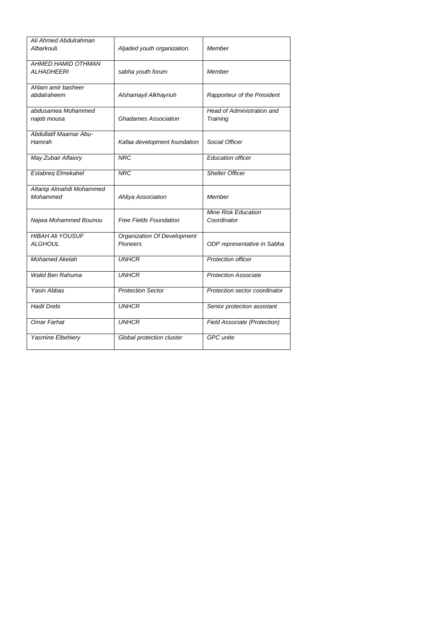| Ali Ahmed Abdulrahman                          |                                         |                                           |
|------------------------------------------------|-----------------------------------------|-------------------------------------------|
| Albarkouli.                                    | Aljaded youth organization.             | Member                                    |
| <b>AHMED HAMID OTHMAN</b><br><b>ALHADHEERI</b> | sabha youth forum                       | Member                                    |
| Ahlam amir basheer<br>abdalraheem              | Alshamayil Alkhayriuh                   | Rapporteur of the President               |
| abdusamea Mohammed<br>najeb mousa              | <b>Ghadames Association</b>             | Head of Administration and<br>Training    |
| Abdullatif Maamar Abu-<br>Hamrah               | Kafaa development foundation            | Social Officer                            |
| May Zubair Alfaiory                            | <b>NRC</b>                              | <b>Education officer</b>                  |
| <b>Estabreg Elmekahel</b>                      | <b>NRC</b>                              | <b>Shelter Officer</b>                    |
| Altariqi Almahdi Mohammed<br>Mohammed          | Ahliya Association                      | Member                                    |
| Najwa Mohammed Bounou                          | <b>Free Fields Foundation</b>           | <b>Mine Risk Education</b><br>Coordinator |
| <b>HIBAH Ali YOUSUF</b><br><b>ALGHOUL</b>      | Organization Of Development<br>Pioneers | ODP representative in Sabha               |
| <b>Mohamed Akelah</b>                          | <b>UNHCR</b>                            | <b>Protection officer</b>                 |
| Walid Ben Rahuma                               | <b>UNHCR</b>                            | <b>Protection Associate</b>               |
| <b>Yasin Abbas</b>                             | <b>Protection Sector</b>                | Protection sector coordinator             |
| Hadil Drebi                                    | <b>UNHCR</b>                            | Senior protection assistant               |
| Omar Farhat                                    | <b>UNHCR</b>                            | Field Associate (Protection)              |
| Yasmine Elbehiery                              | Global protection cluster               | <b>GPC</b> unite                          |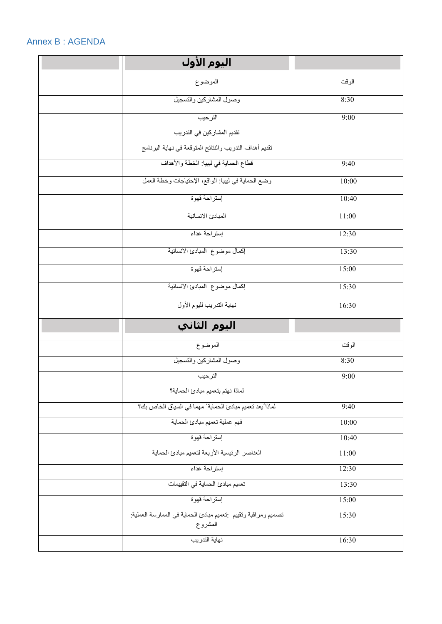| اليوم الأول                                                               |       |
|---------------------------------------------------------------------------|-------|
| الموضوع                                                                   | الوقت |
| وصول المشاركين والتسجيل                                                   | 8:30  |
| الترحيب                                                                   | 9:00  |
| تقديم المشاركين في التدريب                                                |       |
| تقديم أهداف التدريب والنتائج المتوقعة في نهاية البرنامج                   |       |
| قطاع الحماية في ليبيا: الخطة والأهداف                                     | 9:40  |
| وضع الحماية في ليبيا: الواقع، الإحتياجات وخطة العمل                       | 10:00 |
| إستراحة قهوة                                                              | 10:40 |
| المبادئ الانسانية                                                         | 11:00 |
| إستراحة غداء                                                              | 12:30 |
| إكمال موضوع المبادئ الانسانية                                             | 13:30 |
| إستراحة قهوة                                                              | 15:00 |
| إكمال موضوع المبادئ الانسانية                                             | 15:30 |
| نهاية التدريب لليوم الأول                                                 | 16:30 |
| اليوم الثاني                                                              |       |
| الموضوع                                                                   | الوقت |
| وصول المشاركين والتسجيل                                                   | 8:30  |
| الترحيب                                                                   | 9:00  |
| لماذا نهتم بتعميم مبادئ الحماية؟                                          |       |
| لماذا ُيعد تعميم مبادئ الحماية ً مهما في السياق الخاص بك؟                 | 9:40  |
| فهم عملية تعميم مبادئ الحماية                                             | 10:00 |
| إستراحة قهوة                                                              | 10:40 |
| العناصر الرئيسية الأربعة لتعميم مبادئ الحماية                             | 11:00 |
| إستراحة غداء                                                              | 12:30 |
| تعميم مبادئ الحماية في التقييمات                                          | 13:30 |
| إستراحة قهوة                                                              | 15:00 |
| تصميم ومراقبة وتقييم :تعميم مبادئ الحماية في الممارسة العملية:<br>المشروع | 15:30 |
| نهاية التدريب                                                             | 16:30 |